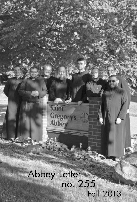# Abbey Letter no. 255 Fall 2013

Sain

Gregory's<br>Abbey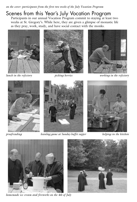*on the cover: participants from the first two weeks of the July Vocation Program*

## Scenes from this Year ' s July Vocation Program

Participants in our annual Vocation Program commit to staying at least two weeks at St. Gregory's. While here, they are given a glimpse of monastic life as they pray, work, study, and have social contact with the monks.







*lunch in the refectory picking berries working in the refectory*





*proofreading beanbag game at Sunday buffet supper helping in the kitchen*





*homemade ice cream and fireworks on the 4th of July*

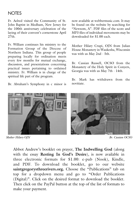#### **NOTES**

Fr. Aelred visited the Community of St. John Baptist in Medham, New Jersey for the 100th anniversary celebration of the laying of their convent's cornerstone April  $27th$ 

Fr. William continues his ministry to the Formation Group of the Diocese of Northern Indiana. This group of people preparing locally for ordination meets every few months for mutual exchange, discussion, and presentations concerning practical issues pertaining to ordained ministry. Fr. William is in charge of the spiritual life part of the program.

Br. Abraham's Symphony in c minor is

now available at webbermusic.com. It may be found on the website by searching for "Newsom, A". PDF files of the score and MP3 files of individual movements may be downloaded for \$1.00 each.

Mother Hilary Crupi, OJN from Julian House Monastery in Waukesha, Wisconsin was with us May 2nd - 5th.

Br. Cassian Russell, OCSO from the Monastery of the Holy Spirit in Conyers, Georgia was with us May 7th - 14th.

Br. Mark has withdrawn from the novitiate.



*Mother Hilary OJN Br. Cassian OCSO*

Abbot Andrew's booklet on prayer, **The Indwelling God** (along with the essay **Resting In God's Desire**), is now available in three electronic formats for \$1.00: e-pub (Nook), Kindle, and PDF. To download the booklet, go to our website **saintgregorysthreerivers.org.** Choose the "Publications" tab on top for a dropdown menu and go to "Order Publications (Digital)". Click on the desired format to download the booklet. Then click on the PayPal button at the top of the list of formats to make your payment.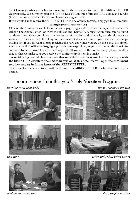Saint Gregory's Abbey now has an e-mail list for those wishing to receive the ABBEY LETTER electronically. We currently offer the ABBEY LETTER in three formats: PDF, Nook, and Kindle (if you are not sure which format to choose, we suggest PDF).

If you would like to receive the ABBEY LETTER in one of these formats, simply go to our website: **saintgregorysthreerivers.org**

Click on the "Publications" link on the home page to get a drop-down menu, and then click on either "The Abbey Letter" or "Order Publications (Digital)". A registration form can be found on those pages. Once you fill out the necessary information and submit it, you should receive a welcome letter via e-mail. Enrolling in our e-mail list does not remove you from our hard copy mailing list. If you do want to stop receiving the hard copy once you are on the e-mail list, simply send an e-mail to **office@saintgregorysthreerivers.org** telling us you are now on the e-mail list and want to be removed from the hard copy list. (If you are in the confraternity, please mention that so that we make sure you receive the confraternity letter via e-mail).

**To avoid being overwhelmed, we ask that only those readers whose last names begin with the letters Q - Z switch to the electronic version at this time. We will open the enrollment to other readers in future issues of the ABBEY LETTER.**

Thank you for keeping in touch with us through our ABBEY LETTER in whichever format you decide.

### more scenes from this year's July Vocation Program

*learning to use choir books Sunday supper on the deck*





*cards at recreation time daily chapter meeting*

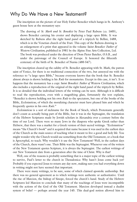#### Why Do We Have a New Testament?

The inscription on the picture of our Holy Father Benedict which hangs in St. Anthony's guest house here at the monastery says:

The drawing of *St. Mark and St. Benedict* by Peter Paul Rubens (ca. 1605), shows Benedict carrying his crozier and displaying a large open Bible. It was sketched by Rubens after the right hand panel of a triptych by Bellini, 1488, which is in the Venetian church of the Frari. This copy of the Rubens drawing is an enlargement of a print that appeared in the volume *Saint Benedict: Father of Western Civilization,* published in 1981 by the Alpine Fine Arts Collection, Ltd. The book was produced under the direction of Dom Pieter Batelier, O.S.B., and under the patronage of the Council of Europe. It honored the fifteenth centenary of the birth of St. Benedict of Nursia (480-547).

The inscription cleared up the oddity of St. Benedict appearing with St. Mark, the patron saint of Venice, for there is no traditional connection of the two, but annoyed me with the reference to "a large open Bible," because everyone knows that the book that St. Benedict almost always is shown holding is his *Rule* for monasteries. Except in this case, it isn't. It so happens that the monastery has a copy *Saint Benedict: Father of Western Civilization,* which also includes a reproduction of the original of the right hand panel of the triptych by Bellini. It is so detailed that the individual letters of the writing can be seen. Although it is difficult to read the reproduction, even with a magnifying glass, fortunately the text explains, "Benedict is shown holding not his own *Rule* to the spectators, but one of the books of the Bible, *Ecclesiasticus*, of which the moralizing character must have pleased him and which he frequently quotes in his own *Rule*."

*Ecclesiasticus* is a sort of nickname for the Book of Sirach, which Protestants generally don't count as actually being part of the Bible, but it was in the Septuagint, the translation of the Hebrew Scriptures made by Jewish scholars in Alexandria over a century before the time of our Lord. There were so many Jews in the diaspora who spoke Greek rather than Hebrew, that there was a market for a Greek version of their sacred writings. *"Ecclesiasticus"* means "the Church's book" and it acquired that name because it was used in the earliest days of the Church as the main source of teaching what it meant to live a good and holy life. You might wonder why the Church would use something from the Old Testament, or a book that is Apocryphal, to teach. Why wouldn't it use the New Testament? Well, in the earliest days of the Church, there wasn't one. Their Bible was the Septuagint. Whenever one of the writers of the New Testament quotes Scripture, it is always the Septuagint. The earliest writings of our New Testament date from a generation after the time of Christ. Why is that?

Well, one of the reasons is probably something that is a major topic of the earliest writing to survive, Paul's letter to the church in Thessalonica: Why hasn't Jesus come back yet? Probably if you expected Jesus to return any day now, making sure you had everything down in writing might not have seemed that important.

There were many writings, to be sure, some of which claimed apostolic authorship. But there was no general agreement as to which writings were authentic or authoritative. Until the rise of Marcion, the bishop of Sinope, forced the church's hand. Study of the Hebrew Scriptures led Marcion to conclude that many of the teachings of Jesus were incompatible with the actions of the God of the Old Testament. Marcion developed instead a dualist system of belief — perhaps around the year 145. This dual-god notion allowed him to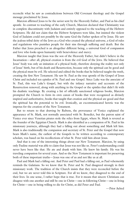reconcile what he saw as contradictions between Old Covenant theology and the Gospel message proclaimed by Jesus.

Marcion affirmed Jesus to be the savior sent by the Heavenly Father, and Paul as his chief apostle. In contrast to teaching of the early Church, Marcion declared that Christianity was in complete discontinuity with Judaism and entirely opposed to the teaching of the Hebrew Scriptures. He did not claim that the Hebrew Scriptures were false, but insisted the violent God of Judaism could not possibly be the same God the Father spoken of by Jesus. He saw the jealous tribal deity of the Jews as a God who created the physical universe, a God of rules and regulations who punishes people for their sins through suffering and death. But the Father that Jesus preached is an altogether different being, a universal God of compassion and love who looks upon humanity with benevolence and mercy.

Marcion taught that Jesus was the son of the Heavenly Father, but didn't believe in the Incarnation—after all, physical creation is from the evil God of the Jews. He believed that Jesus' body was only an imitation of a physical body, therefore denying the reality not only of Jesus' birth, but of his death and Resurrection, because only the spiritual can be good and the physical must be evil. He selected and edited the books that he believed taught the truth, creating the first New Testament. He saw St. Paul as the true apostle of the Gospel of Jesus Christ and included ten epistles of St. Paul and one Gospel. Since Luke was the associate of St. Paul, this was Luke's Gospel, but with the infancy narrative and accounts of the Resurrection removed, along with anything in the Gospel or the epistles that didn't fit with his dualistic teachings. By creating a list of officially sanctioned religious books, Marcion prompted the Church to form its own canon of books that were recognized as divinely inspired and authoritative, books that taught that creation and the physical are good and that the spiritual has the potential to be evil. Ironically, an excommunicated heretic was the impetus for the creation of the New Testament.

But to return to that drawing by Rubens, the provenance of Venice explained the appearance of St. Mark, not normally associated with St. Benedict, but the patron saint of Venice ever since Venetian pirates stole the relics from Egypt, where St. Mark is revered as the founder of the Egyptian Church. Mark is also identified as a companion of St. Paul in his missionary journeys, although they had a falling out about something and Mark left him. Mark is also traditionally the companion and secretary of St. Peter and the Gospel that now bears Mark's name, the earliest of the Gospels to be written according to contemporary scholars, was based on his recollections of what St. Peter told him about Jesus.

And that is one of the interesting things about our New Testament. Marcion, by using only Pauline material was able to claim that Jesus was not like us. Peter's understanding could never have been like that. He ate and drank with him. He knew his family. He was his traveling companion for several years. And so the New Testament is important for preserving both of these important truths—Jesus was one of us and not like us at all.

Paul and Mark had a falling out. And Peter and Paul had a falling out, as Paul vehemently reminds the Galatians. So we know that St. Peter and St. Paul disagreed strongly in their missionary work. The tradition of the Church insists that they were reconciled before the end, but we are never told this in Scripture. For all we know, they disagreed to the end of their lives. In one sense, I rather hope that is true. For it means that sincere Christians can disagree with one another and still be one in Christ—one in following Christ—one in living for Christ—one in being willing to die for Christ, as did Peter and Paul.

—Prior Aelred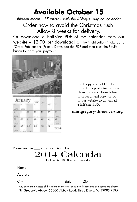# **Available October 15**

*thirteen months, 15 photos, with the Abbey's liturgical calendar* Order now to avoid the Christmas rush! Allow 8 weeks for delivery.

Or download a half-size PDF of the calendar from our website – \$2.00 per download! On the "Publications" tab, go to "Order Publications (Print)". Download the PDF and then click the PayPal button to make your payment.



|    | January |    |          |     |            |              |  |
|----|---------|----|----------|-----|------------|--------------|--|
| s. | 收       |    | si       |     | <b>TE:</b> | $\mathbf{u}$ |  |
|    |         |    |          |     |            |              |  |
|    | ΥI      |    | 15       | KS. | 17.        | ж            |  |
|    |         |    |          |     |            |              |  |
|    |         |    |          |     |            |              |  |
|    | $\sim$  |    |          |     |            |              |  |
|    | 27      | 38 | 20<br>Y. | 30  | з          | $201-$       |  |
|    |         |    |          |     |            |              |  |

hard copy size is  $11"$  x  $17"$ , mailed in a protective cover – please use order form below to order a hard copy, or go to our website to download a half-size PDF.

#### **saintgregorysthreerivers.org**

| Please send me _____ copy or copies of the |
|--------------------------------------------|
| 2014 Calendar                              |
| Enclosed is \$10.00 for each calendar.     |

| Name                                  |              |       |                                                                                                                                                                                                                                                                                                                                                                                                                              |                               |  |
|---------------------------------------|--------------|-------|------------------------------------------------------------------------------------------------------------------------------------------------------------------------------------------------------------------------------------------------------------------------------------------------------------------------------------------------------------------------------------------------------------------------------|-------------------------------|--|
| Address                               |              |       |                                                                                                                                                                                                                                                                                                                                                                                                                              |                               |  |
| City                                  |              | State | ∠ip                                                                                                                                                                                                                                                                                                                                                                                                                          |                               |  |
| $\sim$ $\sim$ $\sim$<br>$\sim$ $\sim$ | <b>C</b> . L |       | $\mathbf{r} = \mathbf{r} + \mathbf{r} + \mathbf{r} + \mathbf{r} + \mathbf{r} + \mathbf{r} + \mathbf{r} + \mathbf{r} + \mathbf{r} + \mathbf{r} + \mathbf{r} + \mathbf{r} + \mathbf{r} + \mathbf{r} + \mathbf{r} + \mathbf{r} + \mathbf{r} + \mathbf{r} + \mathbf{r} + \mathbf{r} + \mathbf{r} + \mathbf{r} + \mathbf{r} + \mathbf{r} + \mathbf{r} + \mathbf{r} + \mathbf{r} + \mathbf{r} + \mathbf{r} + \mathbf{r} + \mathbf$ | and the second control of the |  |

Any payment in excess of the calendar price will be gratefully accepted as a gift to the abbey. St. Gregory's Abbey, 56500 Abbey Road, Three Rivers, MI 49093-9595